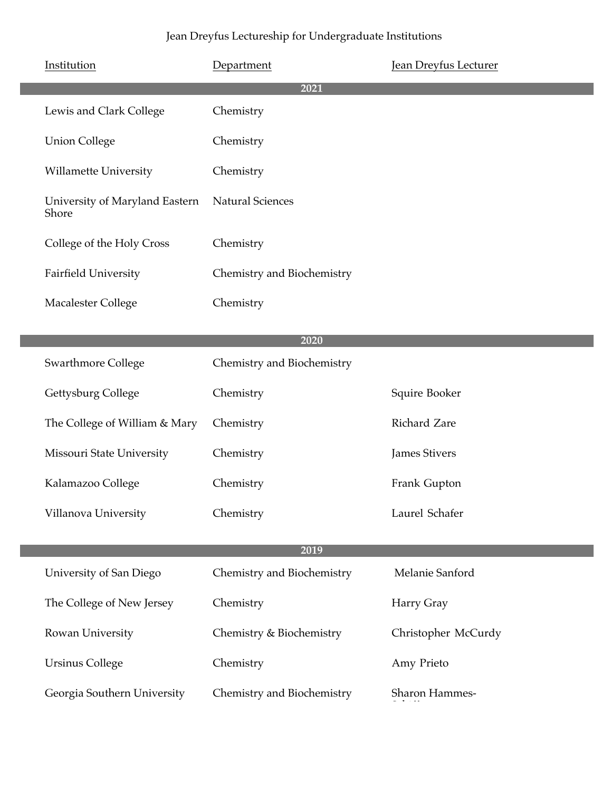| Institution                             | Department                 | <b>Jean Dreyfus Lecturer</b> |
|-----------------------------------------|----------------------------|------------------------------|
|                                         | 2021                       |                              |
| Lewis and Clark College                 | Chemistry                  |                              |
| <b>Union College</b>                    | Chemistry                  |                              |
| <b>Willamette University</b>            | Chemistry                  |                              |
| University of Maryland Eastern<br>Shore | <b>Natural Sciences</b>    |                              |
| College of the Holy Cross               | Chemistry                  |                              |
| <b>Fairfield University</b>             | Chemistry and Biochemistry |                              |
| <b>Macalester College</b>               | Chemistry                  |                              |
|                                         |                            |                              |
|                                         | 2020                       |                              |
| <b>Swarthmore College</b>               | Chemistry and Biochemistry |                              |
| Gettysburg College                      | Chemistry                  | Squire Booker                |
| The College of William & Mary           | Chemistry                  | Richard Zare                 |
| Missouri State University               | Chemistry                  | <b>James Stivers</b>         |
| Kalamazoo College                       | Chemistry                  | Frank Gupton                 |
| Villanova University                    | Chemistry                  | Laurel Schafer               |
|                                         |                            |                              |
|                                         | 2019                       |                              |
| University of San Diego                 | Chemistry and Biochemistry | Melanie Sanford              |
| The College of New Jersey               | Chemistry                  | Harry Gray                   |
| Rowan University                        | Chemistry & Biochemistry   | Christopher McCurdy          |
| <b>Ursinus College</b>                  | Chemistry                  | Amy Prieto                   |
| Georgia Southern University             | Chemistry and Biochemistry | Sharon Hammes-               |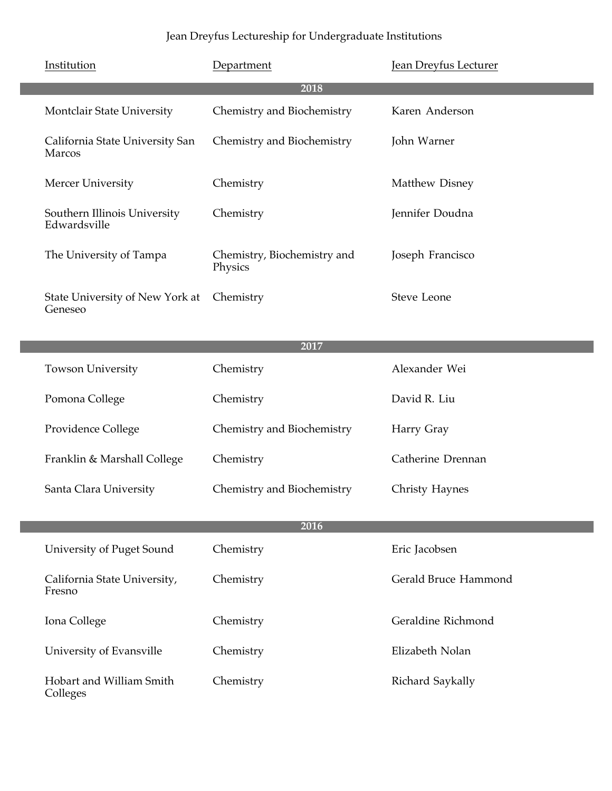| Institution                                  | Department                             | Jean Dreyfus Lecturer |
|----------------------------------------------|----------------------------------------|-----------------------|
|                                              | 2018                                   |                       |
| <b>Montclair State University</b>            | Chemistry and Biochemistry             | Karen Anderson        |
| California State University San<br>Marcos    | Chemistry and Biochemistry             | John Warner           |
| Mercer University                            | Chemistry                              | Matthew Disney        |
| Southern Illinois University<br>Edwardsville | Chemistry                              | Jennifer Doudna       |
| The University of Tampa                      | Chemistry, Biochemistry and<br>Physics | Joseph Francisco      |
| State University of New York at<br>Geneseo   | Chemistry                              | Steve Leone           |

| 2017 |                             |                            |                   |
|------|-----------------------------|----------------------------|-------------------|
|      | <b>Towson University</b>    | Chemistry                  | Alexander Wei     |
|      | Pomona College              | Chemistry                  | David R. Liu      |
|      | Providence College          | Chemistry and Biochemistry | Harry Gray        |
|      | Franklin & Marshall College | Chemistry                  | Catherine Drennan |
|      | Santa Clara University      | Chemistry and Biochemistry | Christy Haynes    |

| 2016                                   |           |                      |
|----------------------------------------|-----------|----------------------|
| University of Puget Sound              | Chemistry | Eric Jacobsen        |
| California State University,<br>Fresno | Chemistry | Gerald Bruce Hammond |
| Iona College                           | Chemistry | Geraldine Richmond   |
| University of Evansville               | Chemistry | Elizabeth Nolan      |
| Hobart and William Smith<br>Colleges   | Chemistry | Richard Saykally     |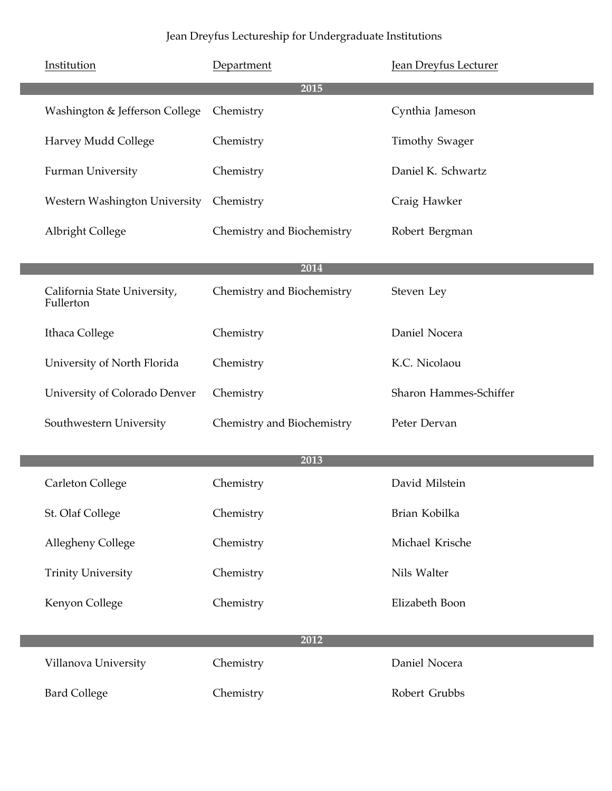| Institution                               | Department                 | <b>Jean Dreyfus Lecturer</b> |
|-------------------------------------------|----------------------------|------------------------------|
|                                           | 2015                       |                              |
| Washington & Jefferson College            | Chemistry                  | Cynthia Jameson              |
| Harvey Mudd College                       | Chemistry                  | <b>Timothy Swager</b>        |
| Furman University                         | Chemistry                  | Daniel K. Schwartz           |
| Western Washington University             | Chemistry                  | Craig Hawker                 |
| <b>Albright College</b>                   | Chemistry and Biochemistry | Robert Bergman               |
|                                           | 2014                       |                              |
| California State University,<br>Fullerton | Chemistry and Biochemistry | Steven Ley                   |
| Ithaca College                            | Chemistry                  | Daniel Nocera                |
| University of North Florida               | Chemistry                  | K.C. Nicolaou                |
| University of Colorado Denver             | Chemistry                  | Sharon Hammes-Schiffer       |
| Southwestern University                   | Chemistry and Biochemistry | Peter Dervan                 |
|                                           | 2013                       |                              |
| Carleton College                          | Chemistry                  | David Milstein               |
| St. Olaf College                          | Chemistry                  | Brian Kobilka                |
| Allegheny College                         | Chemistry                  | Michael Krische              |
| <b>Trinity University</b>                 | Chemistry                  | Nils Walter                  |
| Kenyon College                            | Chemistry                  | Elizabeth Boon               |
|                                           |                            |                              |
|                                           | 2012                       |                              |
| Villanova University                      | Chemistry                  | Daniel Nocera                |
| <b>Bard College</b>                       | Chemistry                  | Robert Grubbs                |